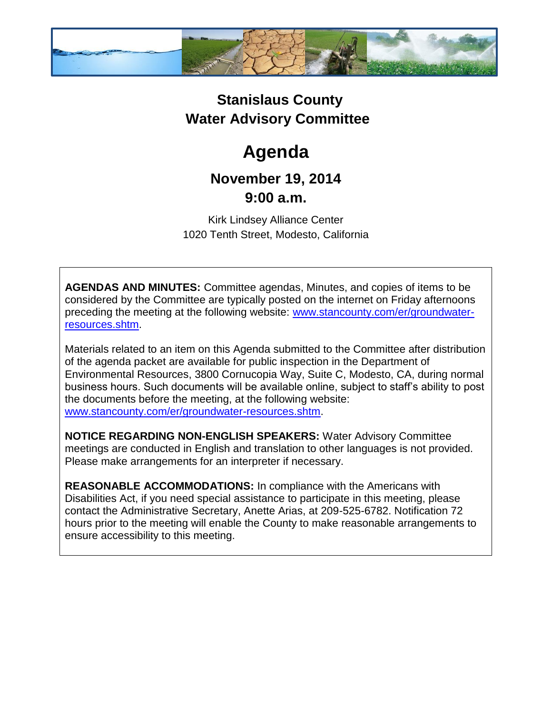

## **Stanislaus County Water Advisory Committee**

# **Agenda**

### **November 19, 2014 9:00 a.m.**

Kirk Lindsey Alliance Center 1020 Tenth Street, Modesto, California

**AGENDAS AND MINUTES:** Committee agendas, Minutes, and copies of items to be considered by the Committee are typically posted on the internet on Friday afternoons preceding the meeting at the following website: [www.stancounty.com/er/groundwater](http://www.stancounty.com/er/groundwater-resources.shtm)[resources.shtm.](http://www.stancounty.com/er/groundwater-resources.shtm)

Materials related to an item on this Agenda submitted to the Committee after distribution of the agenda packet are available for public inspection in the Department of Environmental Resources, 3800 Cornucopia Way, Suite C, Modesto, CA, during normal business hours. Such documents will be available online, subject to staff's ability to post the documents before the meeting, at the following website: [www.stancounty.com/er/groundwater-resources.shtm.](http://www.stancounty.com/er/groundwater-resources.shtm)

**NOTICE REGARDING NON-ENGLISH SPEAKERS:** Water Advisory Committee meetings are conducted in English and translation to other languages is not provided. Please make arrangements for an interpreter if necessary.

**REASONABLE ACCOMMODATIONS:** In compliance with the Americans with Disabilities Act, if you need special assistance to participate in this meeting, please contact the Administrative Secretary, Anette Arias, at 209-525-6782. Notification 72 hours prior to the meeting will enable the County to make reasonable arrangements to ensure accessibility to this meeting.